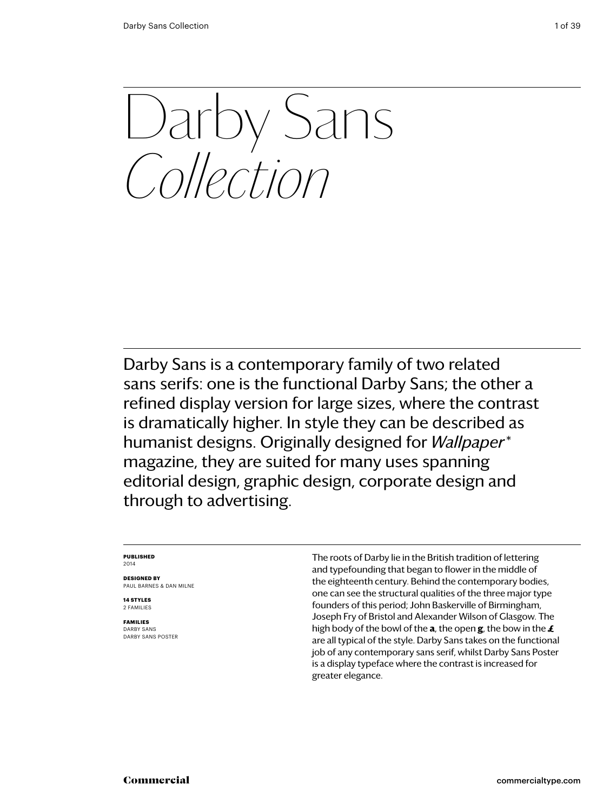Darby Sans *Collection*

Darby Sans is a contemporary family of two related sans serifs: one is the functional Darby Sans; the other a refined display version for large sizes, where the contrast is dramatically higher. In style they can be described as humanist designs. Originally designed for *Wallpaper\** magazine, they are suited for many uses spanning editorial design, graphic design, corporate design and through to advertising.

#### **Published** 2014

**Designed by** Paul Barnes & dan milne

**14 styles** 2 families

**families** darby sans darby sans poster The roots of Darby lie in the British tradition of lettering and typefounding that began to flower in the middle of the eighteenth century. Behind the contemporary bodies, one can see the structural qualities of the three major type founders of this period; John Baskerville of Birmingham, Joseph Fry of Bristol and Alexander Wilson of Glasgow. The high body of the bowl of the **a**, the open **g**, the bow in the **£** are all typical of the style. Darby Sans takes on the functional job of any contemporary sans serif, whilst Darby Sans Poster is a display typeface where the contrast is increased for greater elegance.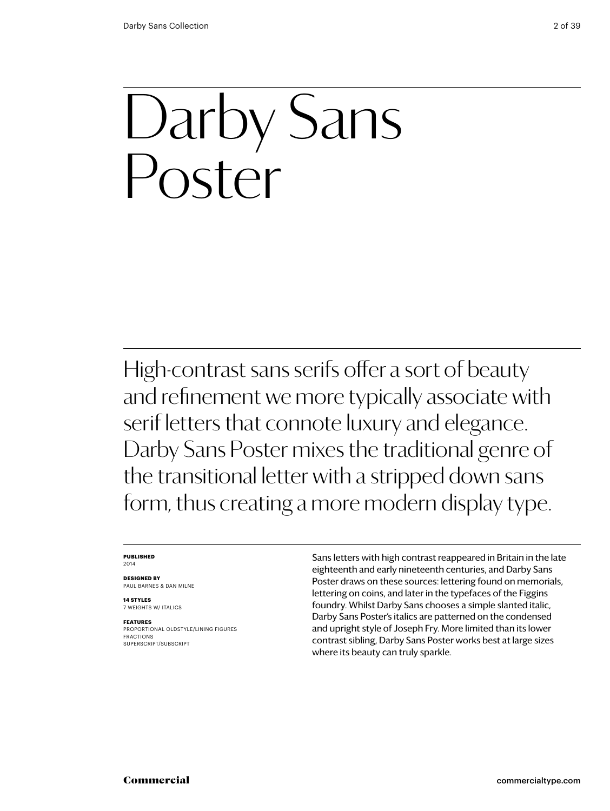## Darby Sans Poster

High-contrast sans serifs offer a sort of beauty and refinement we more typically associate with serif letters that connote luxury and elegance. Darby Sans Poster mixes the traditional genre of the transitional letter with a stripped down sans form, thus creating a more modern display type.

#### **Published** 2014

**Designed by** Paul Barnes & dan milne

**14 styles** 7 weights w/ ITALICS

**Features** PROPORTIONAL oldstyle/LINING FIGURES FRACTIONS SUPERSCRIPT/SUBSCRIPT

Sans letters with high contrast reappeared in Britain in the late eighteenth and early nineteenth centuries, and Darby Sans Poster draws on these sources: lettering found on memorials, lettering on coins, and later in the typefaces of the Figgins foundry. Whilst Darby Sans chooses a simple slanted italic, Darby Sans Poster's italics are patterned on the condensed and upright style of Joseph Fry. More limited than its lower contrast sibling, Darby Sans Poster works best at large sizes where its beauty can truly sparkle.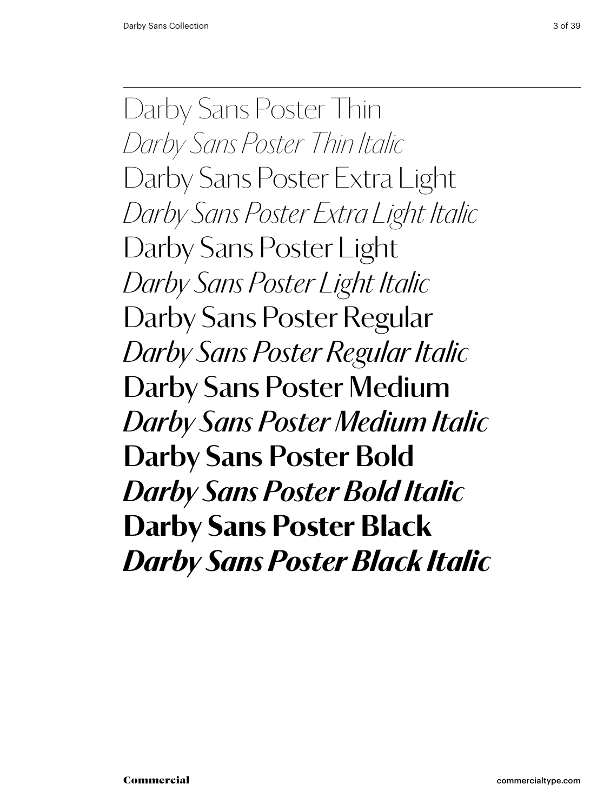Darby Sans Poster Thin *Darby Sans Poster Thin Italic* Darby Sans Poster Extra Light *Darby Sans Poster Extra Light Italic* Darby Sans Poster Light *Darby Sans Poster Light Italic* Darby Sans Poster Regular *Darby Sans Poster Regular Italic* Darby Sans Poster Medium *Darby Sans Poster Medium Italic* **Darby Sans Poster Bold** *Darby Sans Poster Bold Italic* Darby Sans Poster Black *Darby Sans Poster Black Italic*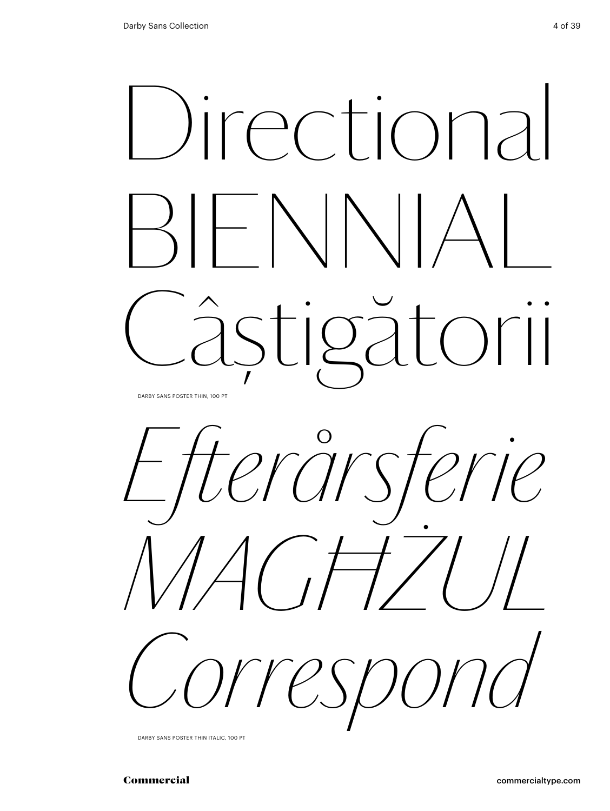



Darby Sans Poster thin italic, 100 Pt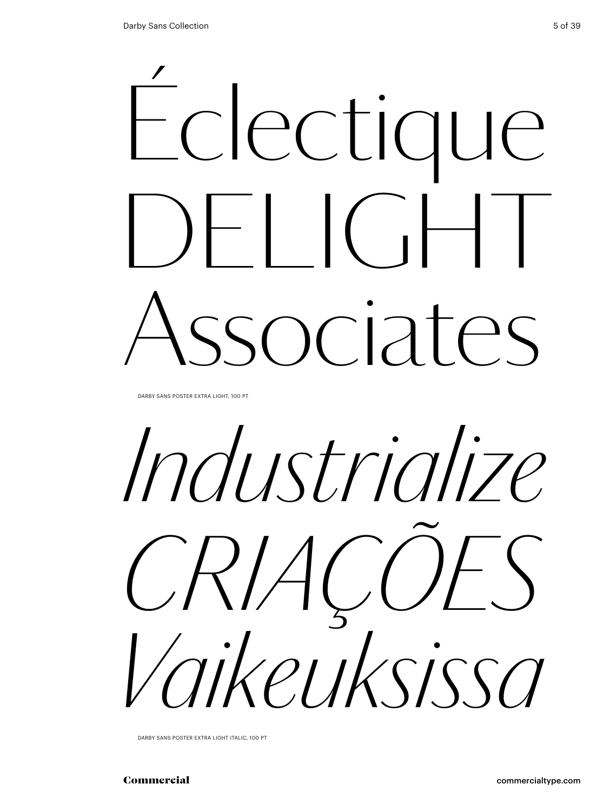

DARBY SANS POSTER EXTRA LIGHT, 100 PT

*Industrialize Criações Vaikeuksissa*

Darby Sans Poster extra light italic, 100 Pt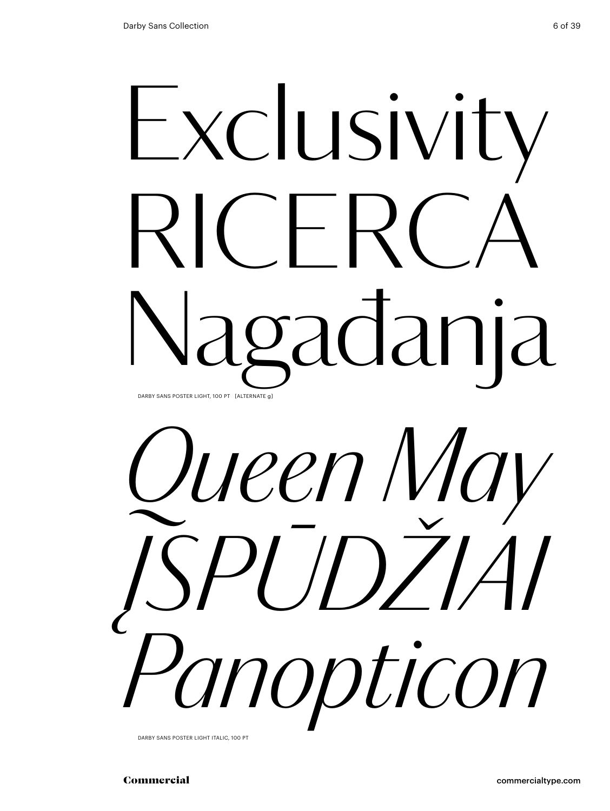## Exclusivity  $RICFR$ gadanja Darby Sans Poster light, 100 Pt [alternate g]



DARBY SANS POSTER LIGHT ITALIC, 100 PT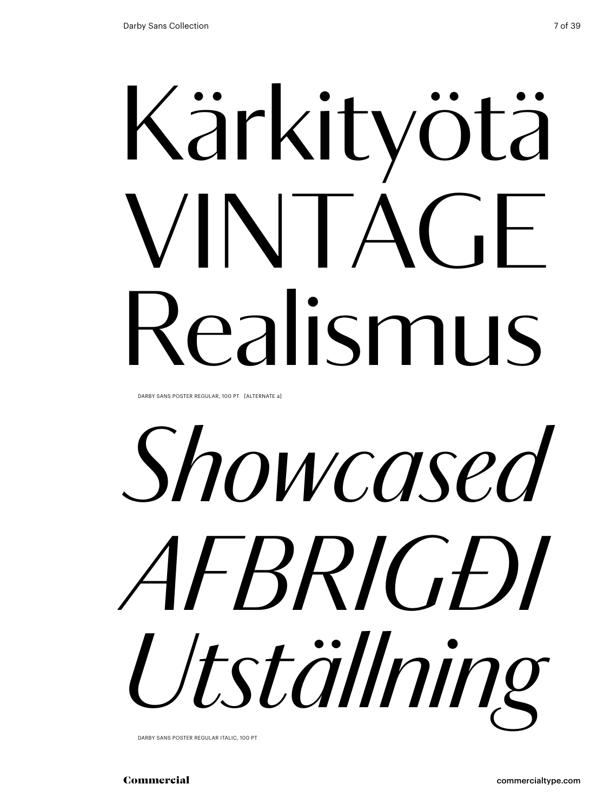# Kärkityötä VINTAGE Realismus

DARBY SANS POSTER REGULAR, 100 PT [ALTERNATE a]

*Showcased afbrigði Utställning*

Darby Sans Poster regular italic, 100 Pt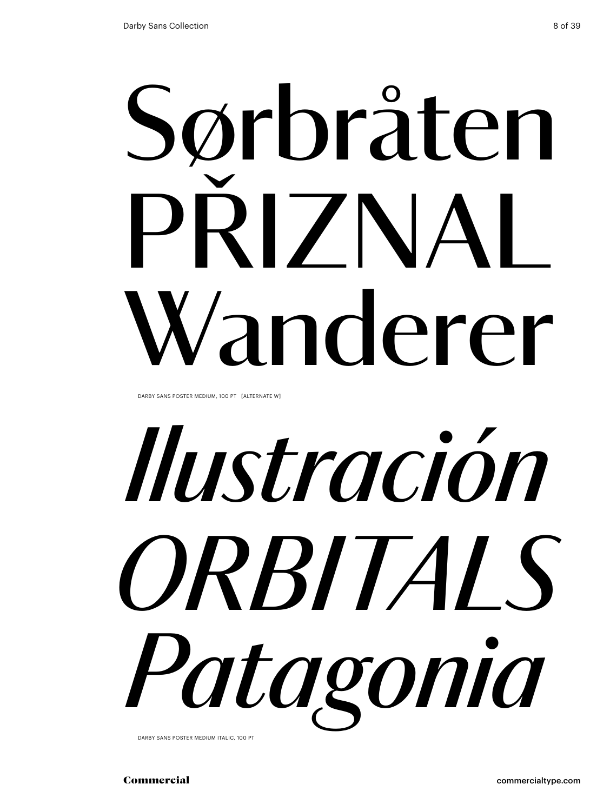# Sørbråten PRIZNAL Wanderer

DARBY SANS POSTER MEDIUM, 100 PT [ALTERNATE W]



Darby Sans Poster medium italic, 100 Pt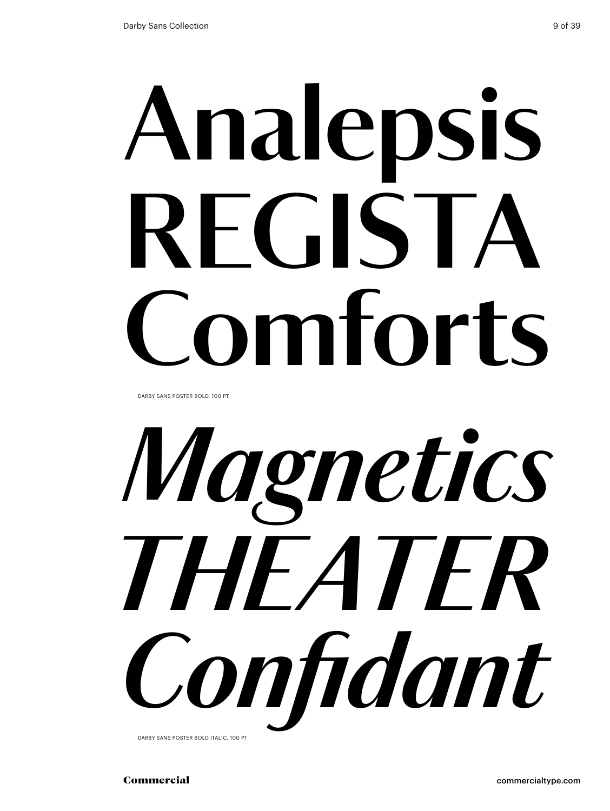# **Analepsis** RFGIST, **Comforts**

DARBY SANS POSTER BOLD, 100 PT



Darby Sans Poster bold italic, 100 Pt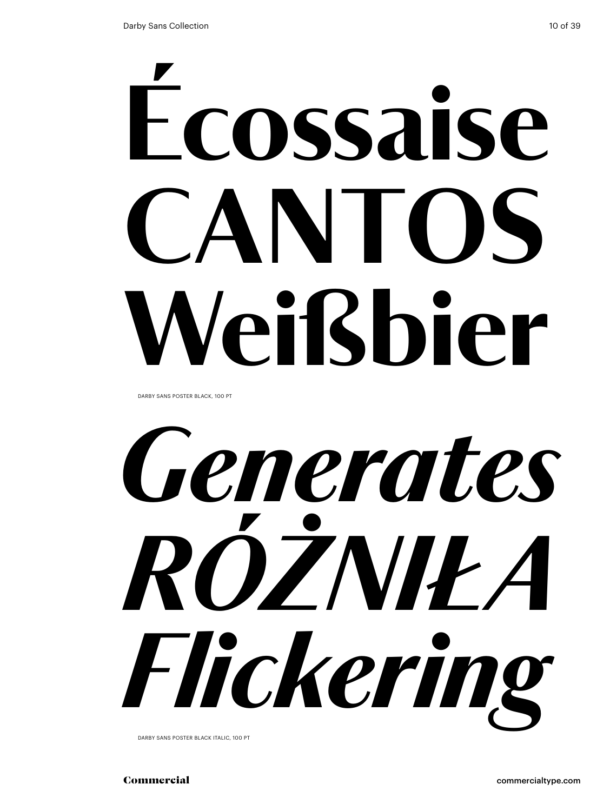# Écossaise CANIOS Weißbier

DARBY SANS POSTER BLACK, 100 PT



Darby Sans Poster black italic, 100 Pt

Commercial commercialtype.com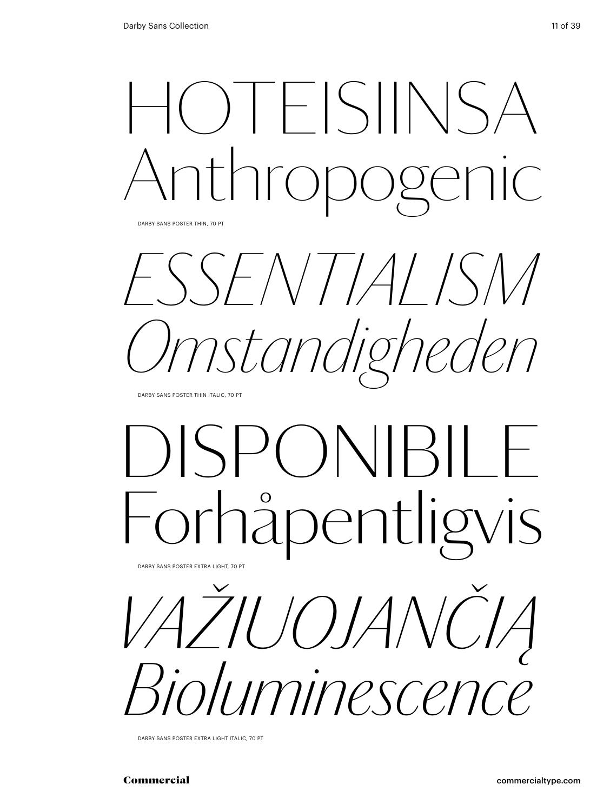

DARBY SANS POSTER THIN, 70 PT

*essentialism Omstandigheden*

DARBY SANS POSTER THIN ITALIC, 70 PT

### disponibile pentligvis Darby Sans Poster Extra Light, 70 pt

*Važiuojančią Bioluminescence*

Darby Sans Poster Extra Light Italic, 70 pt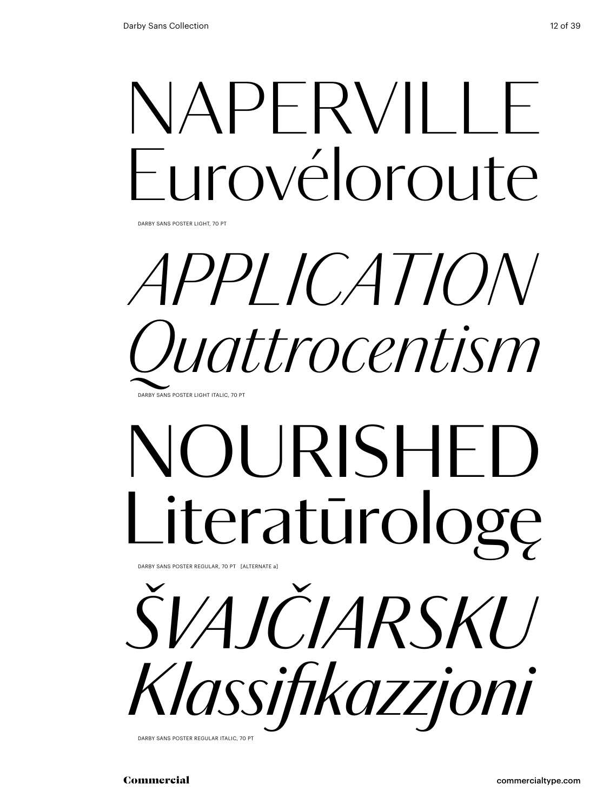## NAPERVILLE Eurovéloroute

Darby Sans Poster Light, 70 pt

### *application Quattrocentism* DARBY SANS POSTER LIGHT ITALIC, 70 P

## NOURISHED Literatūrologę

Darby Sans Poster regular, 70 pt [alternate a]



Darby Sans Poster regular italic, 70 pt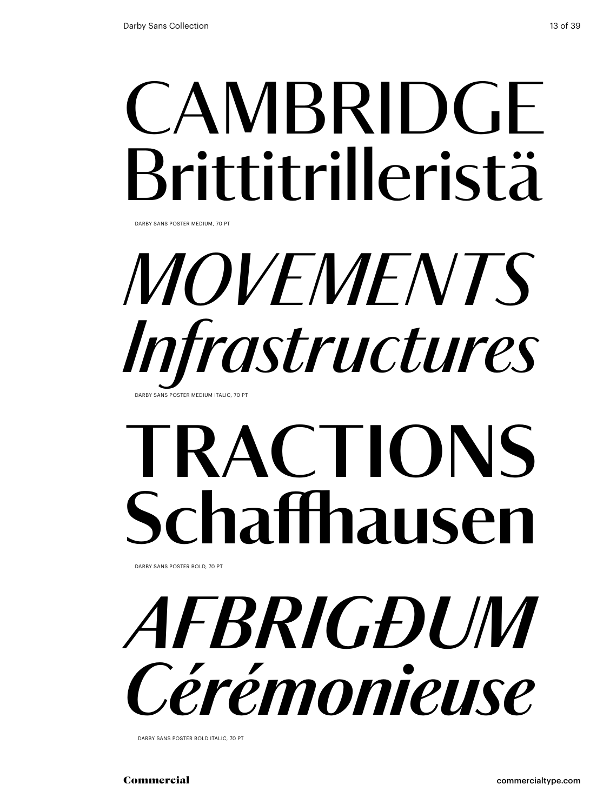## **CAMBRIDGE** Brittitrilleristä

Darby Sans Poster medium, 70 pt

### *MOVEMENTS Infrastructures* DARBY SANS POSTER MEDIUM ITALIC, 70

## **tRACTIONS Schaffhausen**

Darby Sans Poster bold, 70 pt

*afbrigðum Cérémonieuse*

DARBY SANS POSTER BOLD ITALIC, 70 PT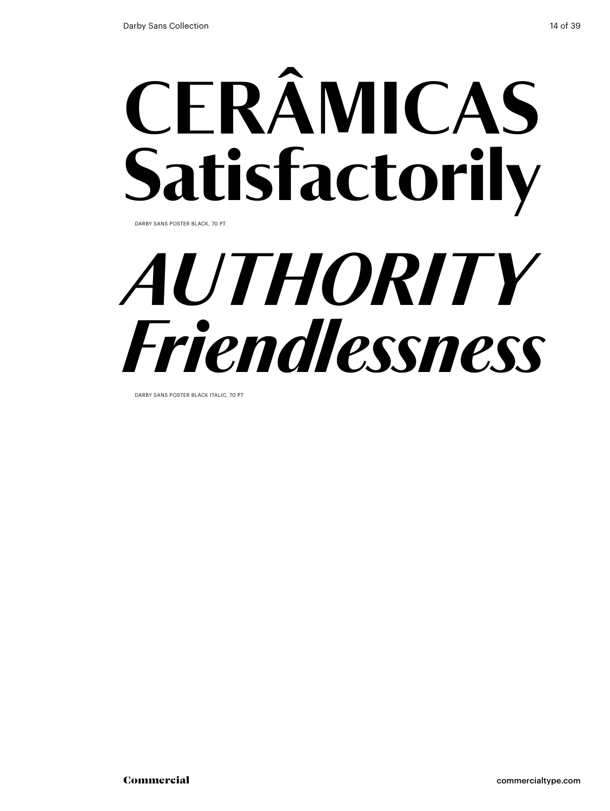## CERÂMICAS Satisfactorily

Darby Sans Poster black, 70 pt

## *authority Friendlessness*

Darby Sans Poster black italic, 70 pt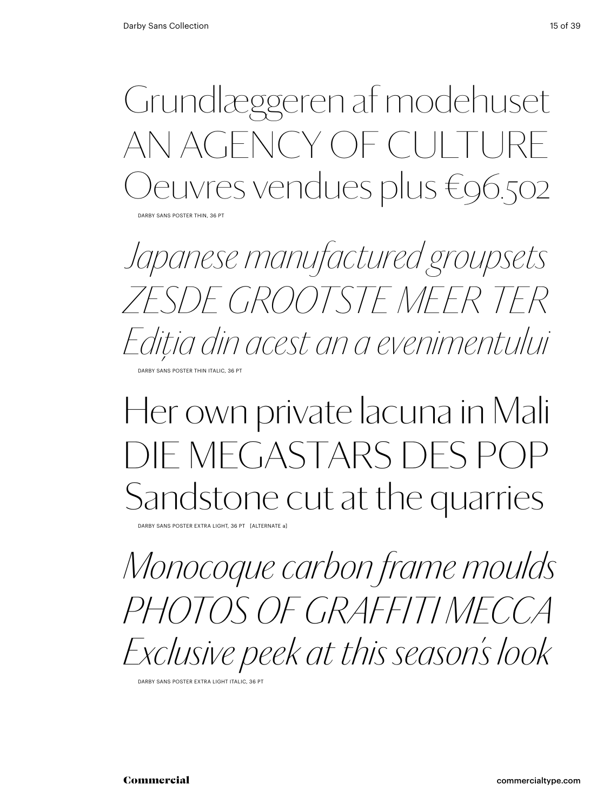Grundlæggeren af modehuset AN AGENCY OF CULT euvres vendues plus €96.502

DARBY SANS POSTER THIN, 36 PT

*Japanese manufactured groupsets Zesde grootste meer ter Ediţia din acest an a evenimentului* DARBY SANS POSTER THIN ITALIC, 36 PT

### Her own private lacuna in Mali Die Megastars des Pop Sandstone cut at the quarries

Darby Sans Poster Extra Light, 36 pt [alternate a]

*Monocoque carbon frame moulds Photos Of Graffiti Mecca Exclusive peek at this season's look*

Darby Sans Poster Extra Light Italic, 36 pt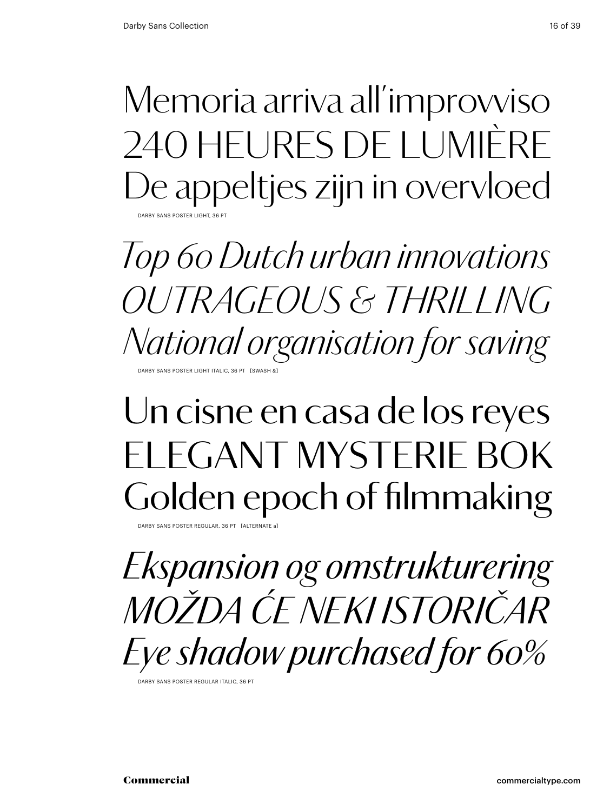Memoria arriva all'improvviso 240 heures de lumière De appeltjes zijn in overvloed DARBY SANS POSTER LIGHT, 36 P

*Top 60 Dutch urban innovations outrageous & thrilling National organisation for saving* DARBY SANS POSTER LIGHT ITALIC, 36 PT [SWASH &

### Un cisne en casa de los reyes FI FGANT MYSTERIE BOK Golden epoch of filmmaking

DARBY SANS POSTER REGULAR, 36 PT

*Ekspansion og omstrukturering Možda će neki istoričar Eye shadow purchased for 60%*

Darby Sans Poster Regular Italic, 36 pt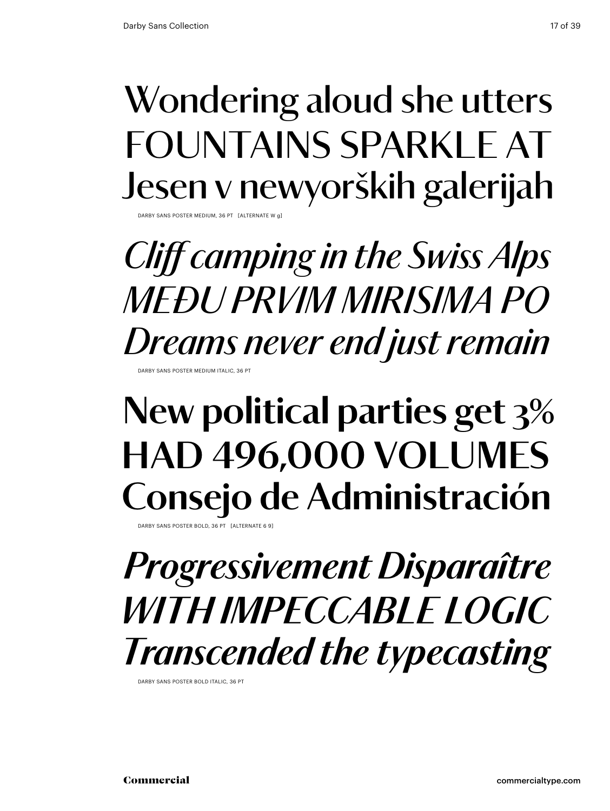#### Wondering aloud she utters FOUNTAINS SPARKLE AT Jesen v newyorških galerijah Darby Sans Poster Medium, 36 pt [alternate w g]

*Cliff camping in the Swiss Alps Među prvim mirisima po Dreams never end just remain* Darby Sans Poster Medium Italic, 36 pt

### **New political parties get 3% had 496,000 volumes Consejo de Administración**

DARBY SANS POSTER BOLD, 36 PT

### *Progressivement Disparaître With impeccable logic Transcended the typecasting*

DARBY SANS POSTER BOLD ITALIC, 36 PT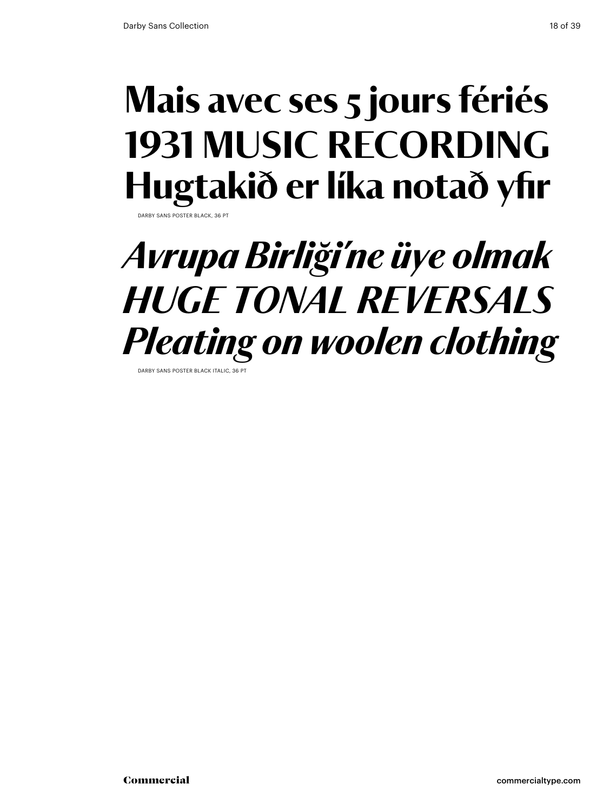#### Mais avec ses 5 jours fériés 1931 MUSIC RECORDING Hugtakið er líka notað yfir Darby Sans Poster black, 36 pt

### *Avrupa Birliği'ne üye olmak huge tonal reversals Pleating on woolen clothing*

Darby Sans Poster black italic, 36 pt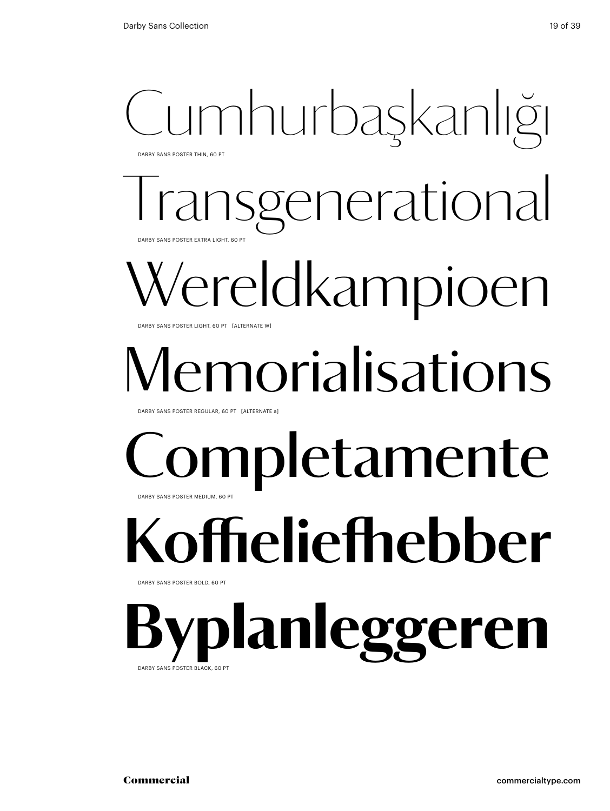### Cumhurbaşkanlığı Darby Sans Poster Thin, 60 Pt

enerational DARBY SANS POSTER EXTRA LIGHT, 60 PT

## 'ereldkampioen

DARBY SANS POSTER LIGHT, 60 PT [ALTERNATE W]

## norialisations

Darby Sans Poster Regular, 60 Pt [alternate a]

### mpletamente Darby Sans Poster Medium, 60 Pt

**Koffieliefhebber** DARBY SANS POSTER BOLD, 60 PT

lanleggeren DARBY SANS POSTER BLACK, 60 P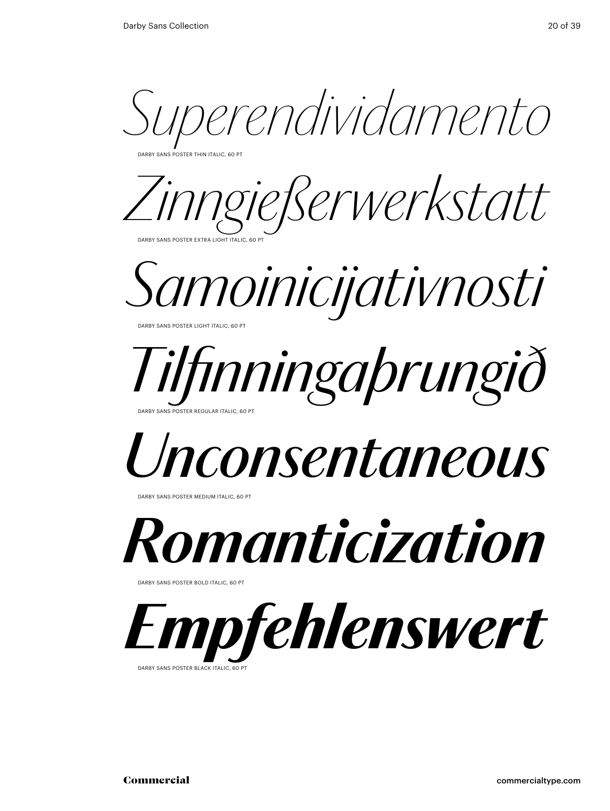*Superendividamento*

Darby Sans Poster Thin italic, 60 Pt

*Zinngießerwerkstatt* Darby Sans Poster Extra Light italic, 60 Pt



### *Tilfinningaþrungið* Darby Sans Poster Regular italic, 60 Pt

## *Unconsentaneous*

Darby Sans Poster Medium italic, 60 Pt



DARBY SANS POSTER BOLD ITALIC, 60 PT



DARBY SANS POSTER BLACK ITALIC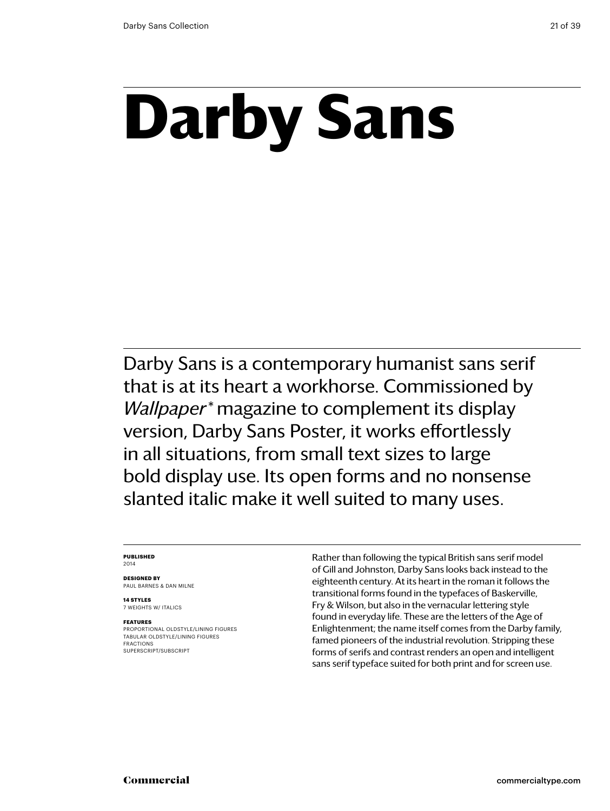## **Darby Sans**

Darby Sans is a contemporary humanist sans serif that is at its heart a workhorse. Commissioned by *Wallpaper\** magazine to complement its display version, Darby Sans Poster, it works effortlessly in all situations, from small text sizes to large bold display use. Its open forms and no nonsense slanted italic make it well suited to many uses.

#### **Published** 2014

**Designed by** Paul Barnes & dan milne

**14 styles** 7 weights w/ ITALICS

#### **Features**

PROPORTIONAL oldstyle/LINING FIGURES TABULAR OLDSTYLE/LINING FIGURES FRACTIONS SUPERSCRIPT/SUBSCRIPT

Rather than following the typical British sans serif model of Gill and Johnston, Darby Sans looks back instead to the eighteenth century. At its heart in the roman it follows the transitional forms found in the typefaces of Baskerville, Fry & Wilson, but also in the vernacular lettering style found in everyday life. These are the letters of the Age of Enlightenment; the name itself comes from the Darby family, famed pioneers of the industrial revolution. Stripping these forms of serifs and contrast renders an open and intelligent sans serif typeface suited for both print and for screen use.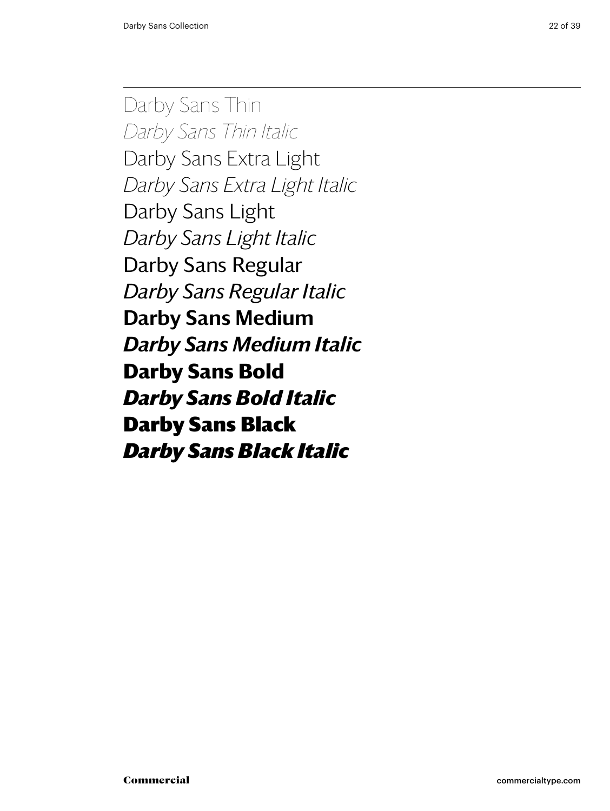Darby Sans Thin *Darby Sans Thin Italic* Darby Sans Extra Light *Darby Sans Extra Light Italic* Darby Sans Light *Darby Sans Light Italic* Darby Sans Regular *Darby Sans Regular Italic* Darby Sans Medium *Darby Sans Medium Italic* **Darby Sans Bold** *Darby Sans Bold Italic* Darby Sans Black *Darby Sans Black Italic*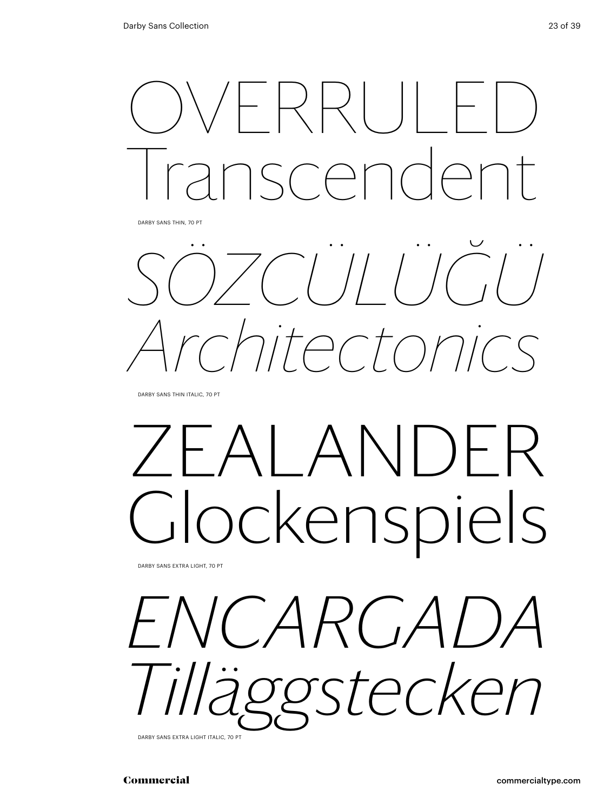

DARBY SANS THIN ITALIC, 70 PT

## $I$  ANDFR ockenspiels

Darby Sans Extra Light, 70 pt



Darby Sans Extra Light Italic, 70 pt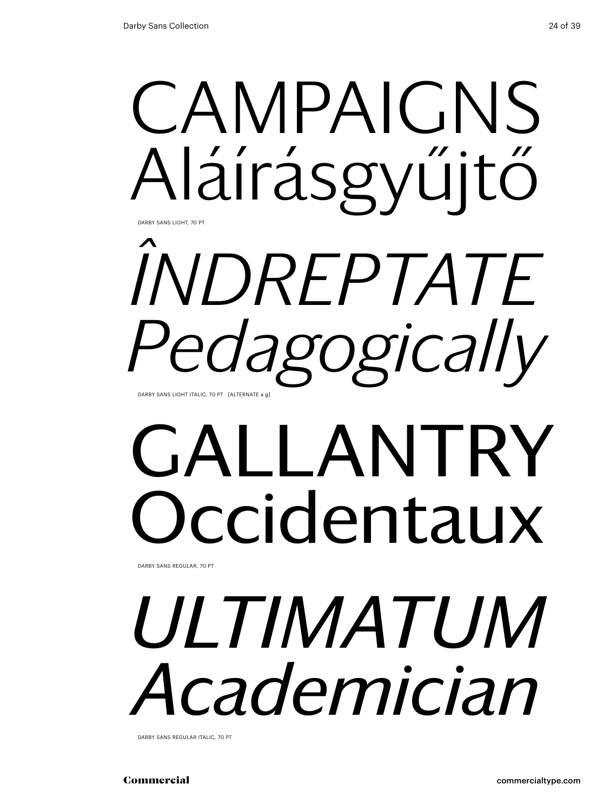

## *îndreptate Pedagogically* Darby Sans Light italic, 70 pt [alternate a g]

## GALLANTRY ccidentaux

Darby Sans regular, 70 pt

## *ultimatum Academician*

Darby Sans regular italic, 70 pt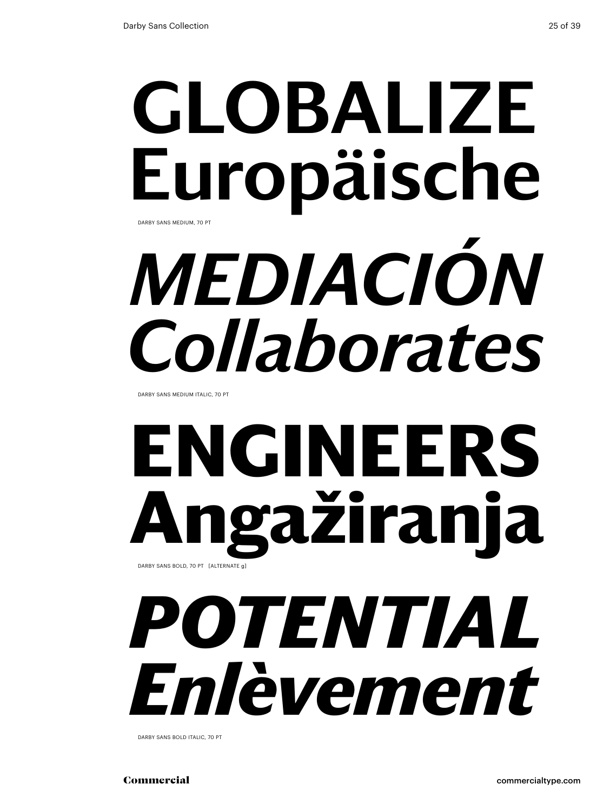## globalize Europäische *mediación* DARBY SANS MEDIUM, 70 PT

*Collaborates*

Darby Sans medium italic, 70 pt

### **engineers Angažiranja** DARBY SANS BOLD, 70 PT [ALTERNATE g]

## *potential Enlèvement*

Darby Sans bold italic, 70 pt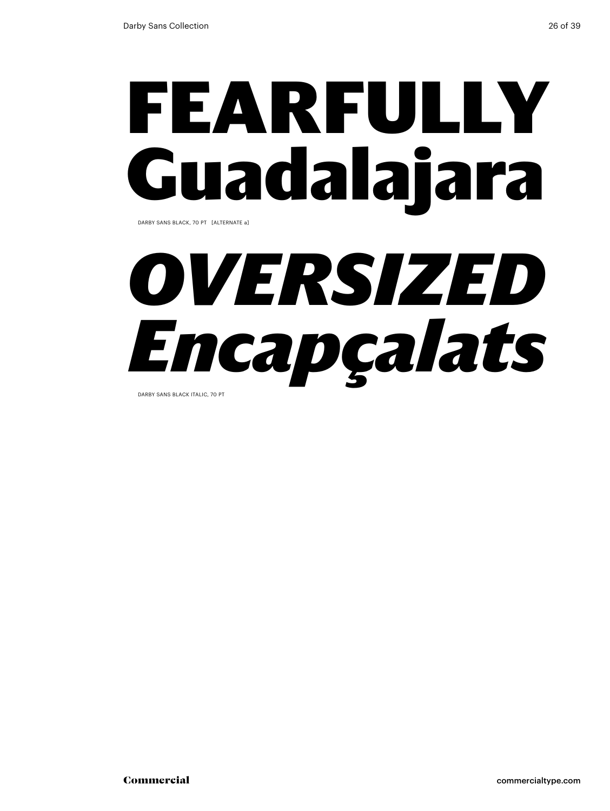## fearfully Guadalajara

Darby Sans black, 70 pt [alternate a]

## *oversized Encapçalats*

Darby Sans black italic, 70 pt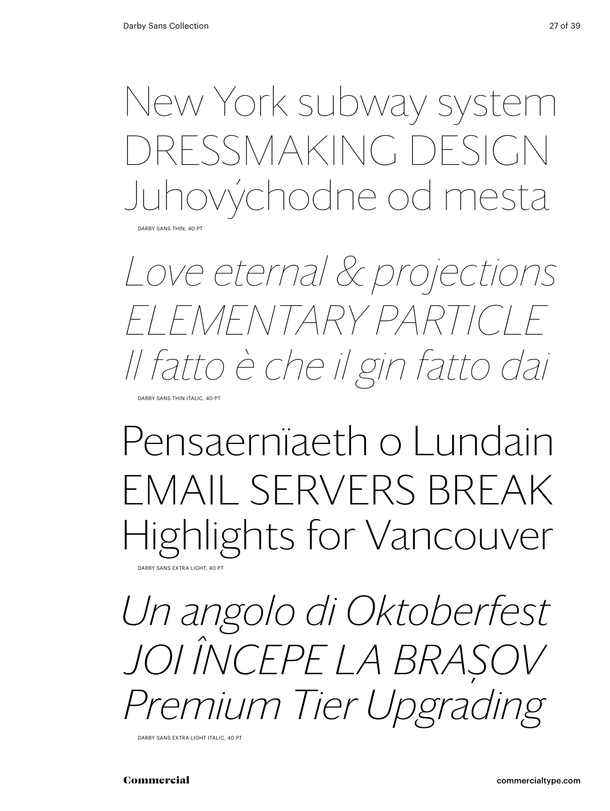New York subway system RESSMAKING DESIGN Juhovýchodne od mesta

DARBY SANS THIN, 40 PT

*Love eternal & projections elementary particle Il fatto è che il gin fatto dai*

DARRY SANS THIN ITALIC, 40 PT

### Pensaernïaeth o Lundain EMAIL SERVERS BREAK Highlights for Vancouver **DARBY SANS EXTRA LIGHT, 40 PT**

*Un angolo di Oktoberfest Joi începe la Braşov Premium Tier Upgrading*

DARBY SANS EXTRA LIGHT ITALIC, 40 PT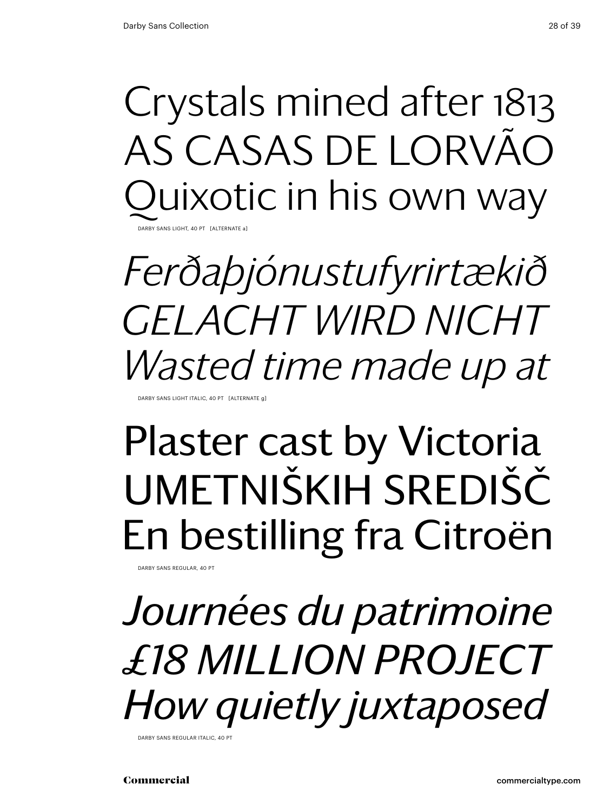Crystals mined after 1813 as Casas de Lorvão uixotic in his own way

Darby Sans Light, 40 pt [alternate a]

*Ferðaþjónustufyrirtækið Gelacht wird nicht Wasted time made up at*

DARRY SANS LIGHT ITALIC, 40 PT. [ALTERNAT

### Plaster cast by Victoria Umetniških središč En bestilling fra Citroën

DARBY SANS REGULAR, 40 PT

*Journées du patrimoine £18 million project How quietly juxtaposed* 

DARBY SANS REGULAR ITALIC, 40 P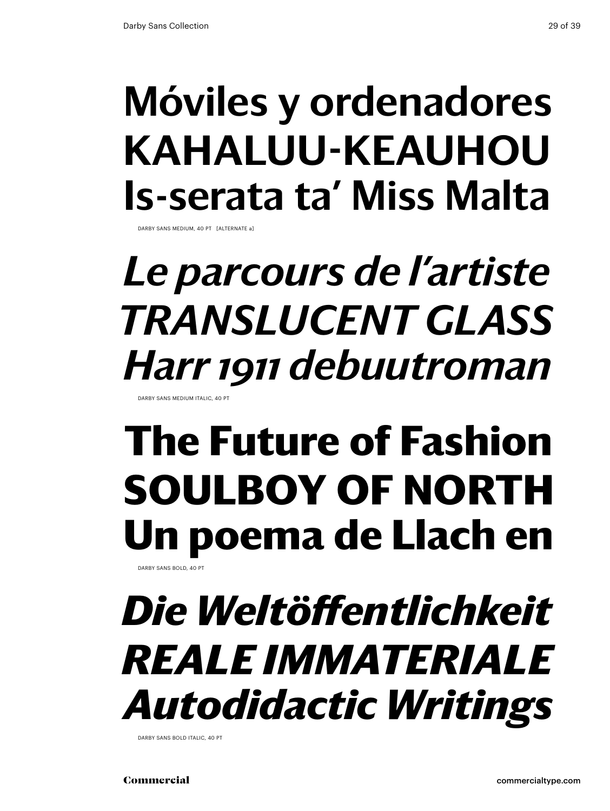### Móviles y ordenadores Kahaluu-Keauhou Is-serata ta' Miss Malta

DARBY SANS MEDIUM, 40 PT [ALTERNATE a]

### *Le parcours de l'artiste translucent glass Harr 1911 debuutroman*

Darby Sans Medium italic, 40 pt

### **The Future of Fashion SOULBOY OF NORTH Un poema de Llach en**

DARBY SANS BOLD, 40 P

### *Die Weltöffentlichkeit reale immateriale Autodidactic Writings*

DARBY SANS BOLD ITALIC, 40 PT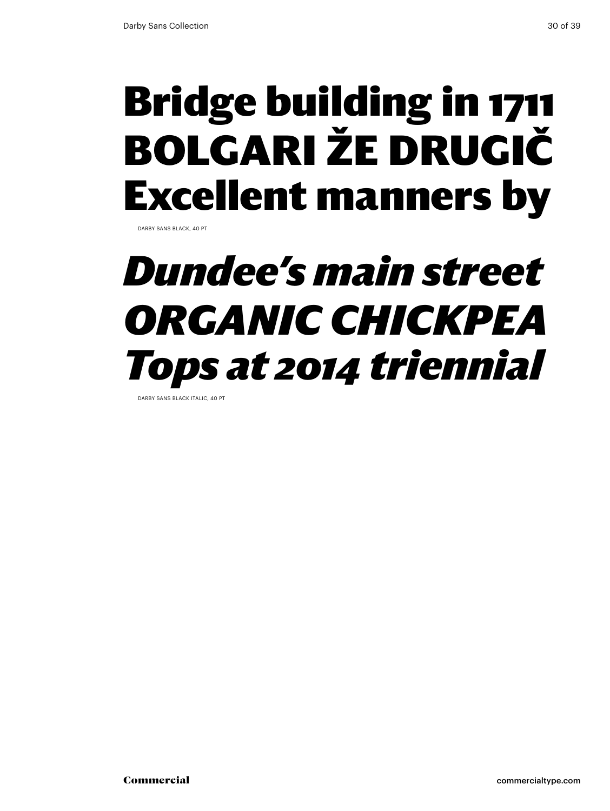### Bridge building in 1711 Bolgari že drugič Excellent manners by

DARBY SANS BLACK, 40 PT

### *Dundee's main street organic Chickpea Tops at 2014 triennial*

DARBY SANS BLACK ITALIC, 40 P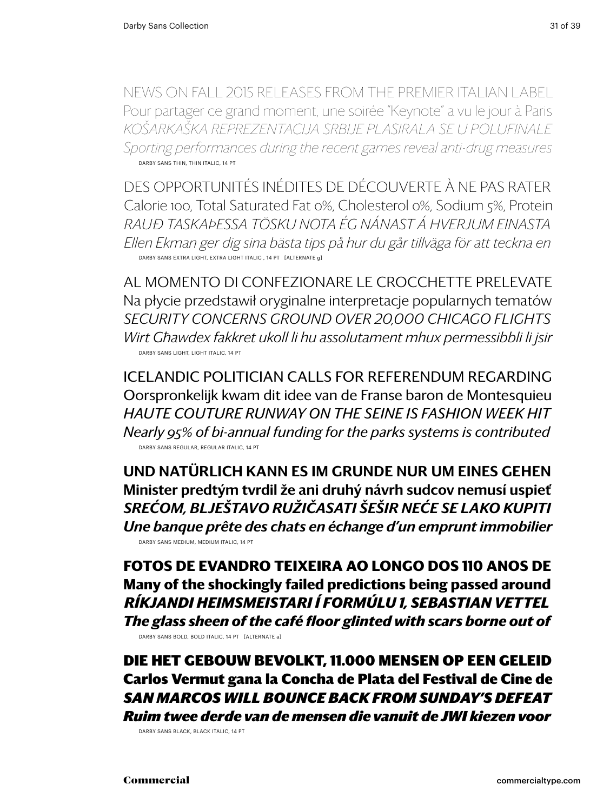news on fall 2015 releases from the premier italian label Pour partager ce grand moment, une soirée "Keynote" a vu le jour à Paris *Košarkaška reprezentacija Srbije plasirala se u polufinale Sporting performances during the recent games reveal anti-drug measures* DARBY SANS THIN, THIN ITALIC, 14 PT

Des opportunités inédites de découverte à ne pas rater Calorie 100, Total Saturated Fat 0%, Cholesterol 0%, Sodium 5%, Protein *Rauð taskaÞessa tösku nota ég nánast á hverjum einasta Ellen Ekman ger dig sina bästa tips på hur du går tillväga för att teckna en* Darby Sans extra light, extra Light Italic , 14 pt [alternate g]

Al momento di confezionare le crocchette prelevate Na płycie przedstawił oryginalne interpretacje popularnych tematów *security concerns ground over 20,000 Chicago flights Wirt Għawdex fakkret ukoll li hu assolutament mhux permessibbli li jsir* Darby Sans light, Light Italic, 14 pt

icelandic politician calls for referendum regarding Oorspronkelijk kwam dit idee van de Franse baron de Montesquieu *Haute couture runway on the seine is fashion week hit Nearly 95% of bi-annual funding for the parks systems is contributed* Darby Sans regular, regular Italic, 14 pt

Und natürlich kann es im Grunde nur um eines gehen Minister predtým tvrdil že ani druhý návrh sudcov nemusí uspieť *Srećom, blještavo ružičasati šešir neće se lako kupiti Une banque prête des chats en échange d'un emprunt immobilier* Darby Sans medium, medium italic, 14 pt

**Fotos de Evandro Teixeira ao longo dos 110 anos de Many of the shockingly failed predictions being passed around** *Ríkjandi heimsmeistari í Formúlu 1, Sebastian Vettel The glass sheen of the café floor glinted with scars borne out of* DARBY SANS BOLD, BOLD ITALIC, 14 PT [ALTERNATE a]

Die het gebouw bevolkt, 11.000 mensen op een geleid Carlos Vermut gana la Concha de Plata del Festival de Cine de *san marcos Will bounce back from Sunday's defeat Ruim twee derde van de mensen die vanuit de JWI kiezen voor*

Darby Sans black, black italic, 14 pt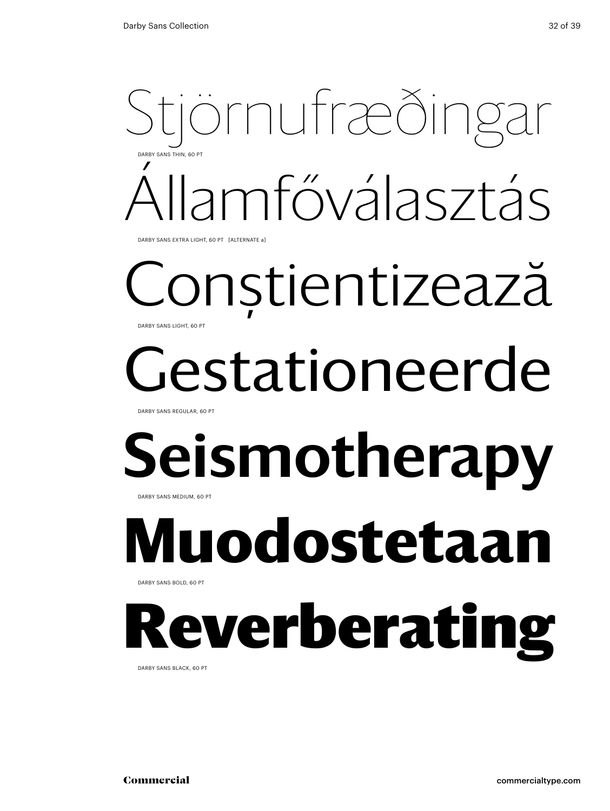### jörnufræðing Államfőválasztás Darby Sans Thin, 60 Pt

DARBY SANS EXTRA LIGHT, 60 PT [ALTERNATE a]

#### Conştientizează DARBY SANS LIGHT, 60 PT

## estationeerde

Darby Sans Regular, 60 Pt

### Seismotherapy Darby Sans Medium, 60 Pt

## **Muodostetaan**

Darby Sans Bold, 60 Pt

## everberating

Darby Sans black, 60 Pt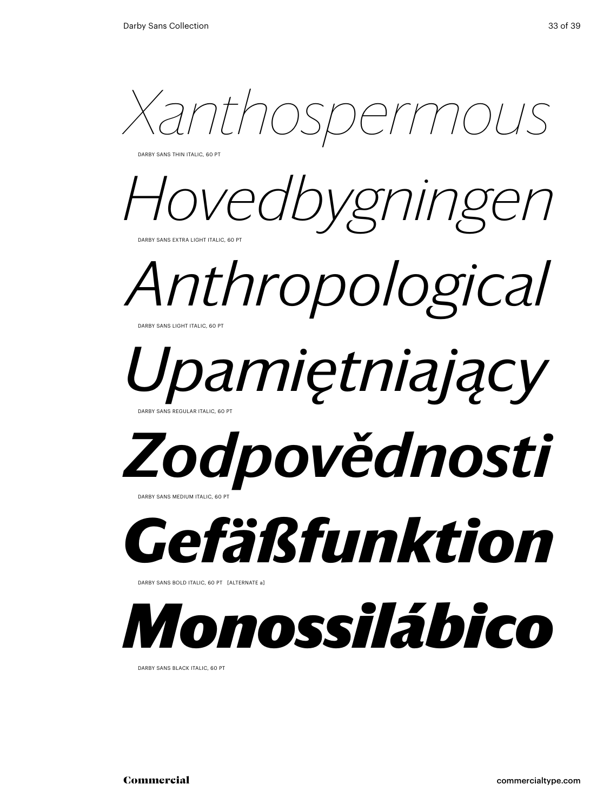*Xanthospermous*

DARBY SANS THIN ITALIC, 60 PT

Hovedbygninge DARBY SANS EXTRA LIGHT ITALIC, 60 PT

*Anthropological*  DARBY SANS LIGHT ITALIC, 60 PT

### *Upamiętniający* ARBY SANS REGULAR ITALIC, 60 PT

## *Zodpovědnosti*

DARBY SANS MEDIUM ITALIC, 60 P



DARBY SANS BOLD ITALIC, 60 PT [ALTERNATE a]



DARBY SANS BLACK ITALIC, 60 PT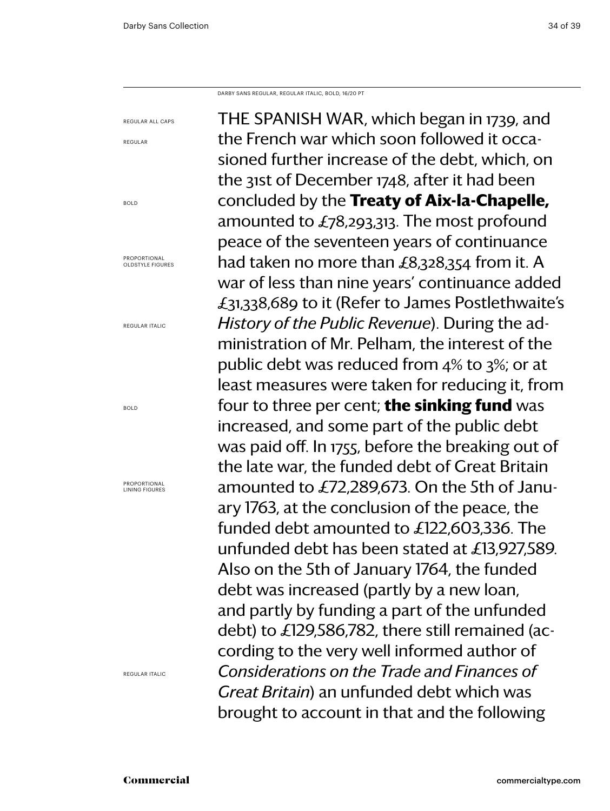regular

bold

bold

Darby Sans regular, regular Italic, bold, 16/20 PT

THE SPANISH WAR, which began in 1739, and the French war which soon followed it occasioned further increase of the debt, which, on the 31st of December 1748, after it had been concluded by the **Treaty of Aix-la-Chapelle,** amounted to £78,293,313. The most profound peace of the seventeen years of continuance had taken no more than £8,328,354 from it. A war of less than nine years' continuance added £31,338,689 to it (Refer to James Postlethwaite's *History of the Public Revenue*). During the administration of Mr. Pelham, the interest of the public debt was reduced from 4% to 3%; or at least measures were taken for reducing it, from four to three per cent; **the sinking fund** was increased, and some part of the public debt was paid off. In 1755, before the breaking out of the late war, the funded debt of Great Britain amounted to £72,289,673. On the 5th of January 1763, at the conclusion of the peace, the funded debt amounted to £122,603,336. The unfunded debt has been stated at £13,927,589. Also on the 5th of January 1764, the funded debt was increased (partly by a new loan, and partly by funding a part of the unfunded debt) to £129,586,782, there still remained (according to the very well informed author of *Considerations on the Trade and Finances of Great Britain*) an unfunded debt which was brought to account in that and the following regular all caps Proportional oldstyle figures regular italic Proportional lining figures

regular Italic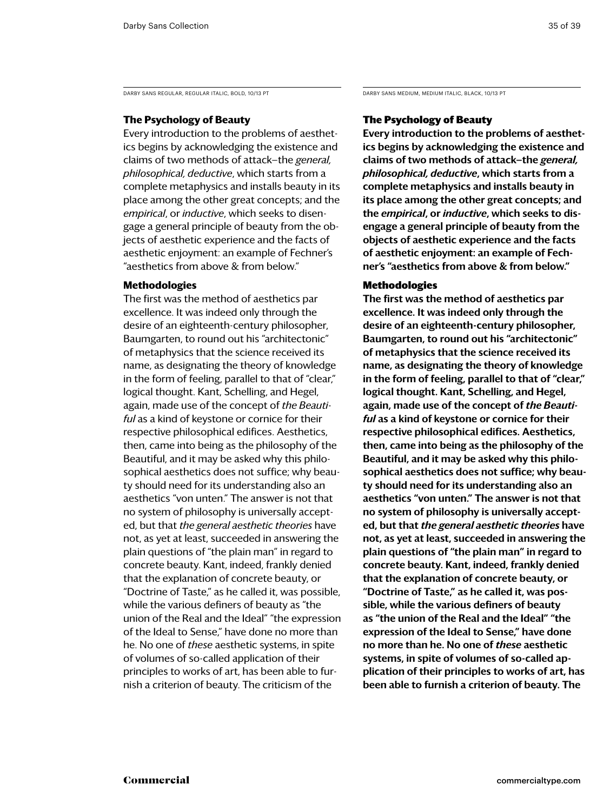DARBY SANS REGULAR, REGULAR ITALIC, BOLD, 10/13 PT DARBY SANS MEDIUM, MEDIUM ITALIC, BLACK, 10/13 PT

#### **The Psychology of Beauty**

Every introduction to the problems of aesthetics begins by acknowledging the existence and claims of two methods of attack—the *general, philosophical, deductive*, which starts from a complete metaphysics and installs beauty in its place among the other great concepts; and the *empirical*, or *inductive*, which seeks to disengage a general principle of beauty from the objects of aesthetic experience and the facts of aesthetic enjoyment: an example of Fechner's "aesthetics from above & from below."

#### **Methodologies**

The first was the method of aesthetics par excellence. It was indeed only through the desire of an eighteenth-century philosopher, Baumgarten, to round out his "architectonic" of metaphysics that the science received its name, as designating the theory of knowledge in the form of feeling, parallel to that of "clear," logical thought. Kant, Schelling, and Hegel, again, made use of the concept of *the Beautiful* as a kind of keystone or cornice for their respective philosophical edifices. Aesthetics, then, came into being as the philosophy of the Beautiful, and it may be asked why this philosophical aesthetics does not suffice; why beauty should need for its understanding also an aesthetics "von unten." The answer is not that no system of philosophy is universally accepted, but that *the general aesthetic theories* have not, as yet at least, succeeded in answering the plain questions of "the plain man" in regard to concrete beauty. Kant, indeed, frankly denied that the explanation of concrete beauty, or "Doctrine of Taste," as he called it, was possible, while the various definers of beauty as "the union of the Real and the Ideal" "the expression of the Ideal to Sense," have done no more than he. No one of *these* aesthetic systems, in spite of volumes of so-called application of their principles to works of art, has been able to furnish a criterion of beauty. The criticism of the

#### The Psychology of Beauty

Every introduction to the problems of aesthetics begins by acknowledging the existence and claims of two methods of attack—the *general, philosophical, deductive*, which starts from a complete metaphysics and installs beauty in its place among the other great concepts; and the *empirical*, or *inductive*, which seeks to disengage a general principle of beauty from the objects of aesthetic experience and the facts of aesthetic enjoyment: an example of Fechner's "aesthetics from above & from below."

#### Methodologies

The first was the method of aesthetics par excellence. It was indeed only through the desire of an eighteenth-century philosopher, Baumgarten, to round out his "architectonic" of metaphysics that the science received its name, as designating the theory of knowledge in the form of feeling, parallel to that of "clear," logical thought. Kant, Schelling, and Hegel, again, made use of the concept of *the Beautiful* as a kind of keystone or cornice for their respective philosophical edifices. Aesthetics, then, came into being as the philosophy of the Beautiful, and it may be asked why this philosophical aesthetics does not suffice; why beauty should need for its understanding also an aesthetics "von unten." The answer is not that no system of philosophy is universally accepted, but that *the general aesthetic theories* have not, as yet at least, succeeded in answering the plain questions of "the plain man" in regard to concrete beauty. Kant, indeed, frankly denied that the explanation of concrete beauty, or "Doctrine of Taste," as he called it, was possible, while the various definers of beauty as "the union of the Real and the Ideal" "the expression of the Ideal to Sense," have done no more than he. No one of *these* aesthetic systems, in spite of volumes of so-called application of their principles to works of art, has been able to furnish a criterion of beauty. The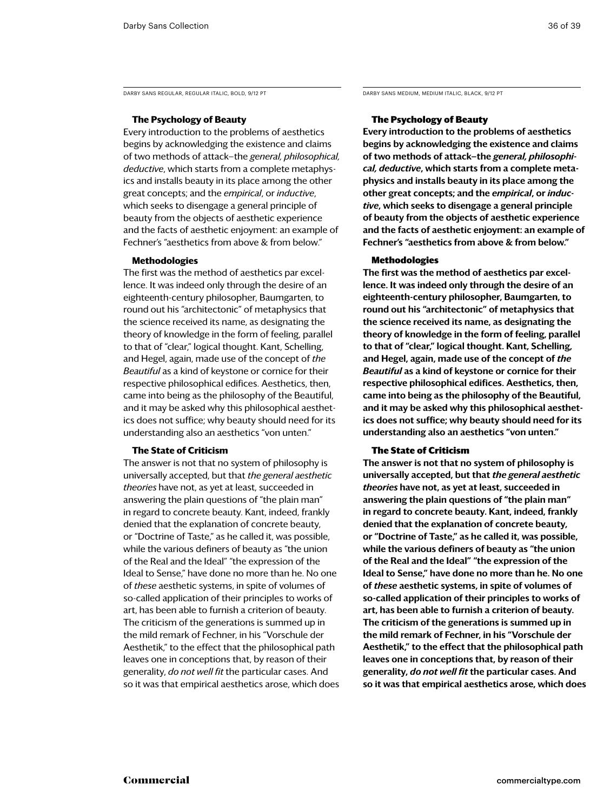DARBY SANS REGULAR, REGULAR ITALIC, BOLD, 9/12 PT DARBY SANS MEDIUM, MEDIUM ITALIC, BLACK, 9/12 PT

#### **The Psychology of Beauty**

Every introduction to the problems of aesthetics begins by acknowledging the existence and claims of two methods of attack—the *general, philosophical, deductive*, which starts from a complete metaphysics and installs beauty in its place among the other great concepts; and the *empirical*, or *inductive*, which seeks to disengage a general principle of beauty from the objects of aesthetic experience and the facts of aesthetic enjoyment: an example of Fechner's "aesthetics from above & from below."

#### **Methodologies**

The first was the method of aesthetics par excellence. It was indeed only through the desire of an eighteenth-century philosopher, Baumgarten, to round out his "architectonic" of metaphysics that the science received its name, as designating the theory of knowledge in the form of feeling, parallel to that of "clear," logical thought. Kant, Schelling, and Hegel, again, made use of the concept of *the Beautiful* as a kind of keystone or cornice for their respective philosophical edifices. Aesthetics, then, came into being as the philosophy of the Beautiful, and it may be asked why this philosophical aesthetics does not suffice; why beauty should need for its understanding also an aesthetics "von unten."

#### **The State of Criticism**

The answer is not that no system of philosophy is universally accepted, but that *the general aesthetic theories* have not, as yet at least, succeeded in answering the plain questions of "the plain man" in regard to concrete beauty. Kant, indeed, frankly denied that the explanation of concrete beauty, or "Doctrine of Taste," as he called it, was possible, while the various definers of beauty as "the union of the Real and the Ideal" "the expression of the Ideal to Sense," have done no more than he. No one of *these* aesthetic systems, in spite of volumes of so-called application of their principles to works of art, has been able to furnish a criterion of beauty. The criticism of the generations is summed up in the mild remark of Fechner, in his "Vorschule der Aesthetik," to the effect that the philosophical path leaves one in conceptions that, by reason of their generality, *do not well fit* the particular cases. And so it was that empirical aesthetics arose, which does

#### The Psychology of Beauty

Every introduction to the problems of aesthetics begins by acknowledging the existence and claims of two methods of attack—the *general, philosophical, deductive*, which starts from a complete metaphysics and installs beauty in its place among the other great concepts; and the *empirical*, or *inductive*, which seeks to disengage a general principle of beauty from the objects of aesthetic experience and the facts of aesthetic enjoyment: an example of Fechner's "aesthetics from above & from below."

#### Methodologies

The first was the method of aesthetics par excellence. It was indeed only through the desire of an eighteenth-century philosopher, Baumgarten, to round out his "architectonic" of metaphysics that the science received its name, as designating the theory of knowledge in the form of feeling, parallel to that of "clear," logical thought. Kant, Schelling, and Hegel, again, made use of the concept of *the Beautiful* as a kind of keystone or cornice for their respective philosophical edifices. Aesthetics, then, came into being as the philosophy of the Beautiful, and it may be asked why this philosophical aesthetics does not suffice; why beauty should need for its understanding also an aesthetics "von unten."

#### The State of Criticism

The answer is not that no system of philosophy is universally accepted, but that *the general aesthetic theories* have not, as yet at least, succeeded in answering the plain questions of "the plain man" in regard to concrete beauty. Kant, indeed, frankly denied that the explanation of concrete beauty, or "Doctrine of Taste," as he called it, was possible, while the various definers of beauty as "the union of the Real and the Ideal" "the expression of the Ideal to Sense," have done no more than he. No one of *these* aesthetic systems, in spite of volumes of so-called application of their principles to works of art, has been able to furnish a criterion of beauty. The criticism of the generations is summed up in the mild remark of Fechner, in his "Vorschule der Aesthetik," to the effect that the philosophical path leaves one in conceptions that, by reason of their generality, *do not well fit* the particular cases. And so it was that empirical aesthetics arose, which does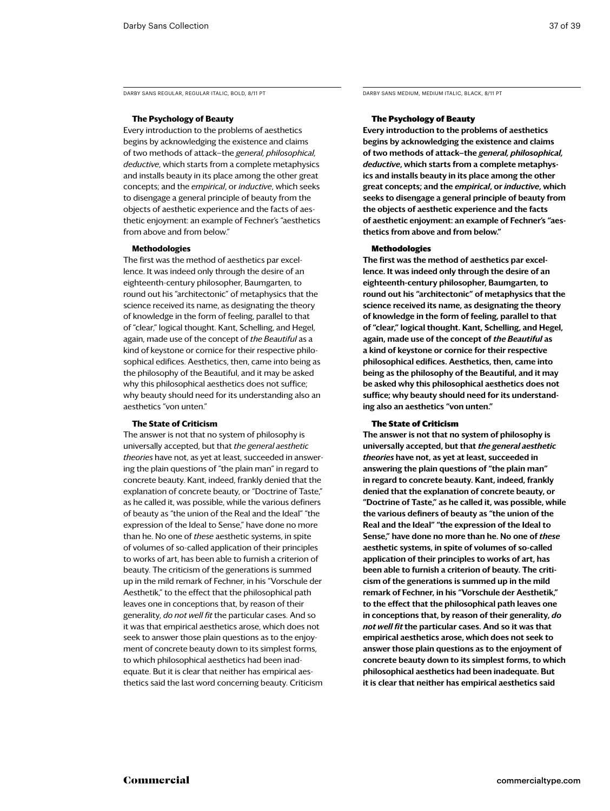DARBY SANS REGULAR, REGULAR ITALIC, BOLD, 8/11 PT DARBY SANS MEDIUM, MEDIUM ITALIC, BLACK, 8/11 PT

#### **The Psychology of Beauty**

Every introduction to the problems of aesthetics begins by acknowledging the existence and claims of two methods of attack—the *general, philosophical, deductive*, which starts from a complete metaphysics and installs beauty in its place among the other great concepts; and the *empirical*, or *inductive*, which seeks to disengage a general principle of beauty from the objects of aesthetic experience and the facts of aesthetic enjoyment: an example of Fechner's "aesthetics from above and from below."

#### **Methodologies**

The first was the method of aesthetics par excellence. It was indeed only through the desire of an eighteenth-century philosopher, Baumgarten, to round out his "architectonic" of metaphysics that the science received its name, as designating the theory of knowledge in the form of feeling, parallel to that of "clear," logical thought. Kant, Schelling, and Hegel, again, made use of the concept of *the Beautiful* as a kind of keystone or cornice for their respective philosophical edifices. Aesthetics, then, came into being as the philosophy of the Beautiful, and it may be asked why this philosophical aesthetics does not suffice; why beauty should need for its understanding also an aesthetics "von unten."

#### **The State of Criticism**

The answer is not that no system of philosophy is universally accepted, but that *the general aesthetic theories* have not, as yet at least, succeeded in answering the plain questions of "the plain man" in regard to concrete beauty. Kant, indeed, frankly denied that the explanation of concrete beauty, or "Doctrine of Taste," as he called it, was possible, while the various definers of beauty as "the union of the Real and the Ideal" "the expression of the Ideal to Sense," have done no more than he. No one of *these* aesthetic systems, in spite of volumes of so-called application of their principles to works of art, has been able to furnish a criterion of beauty. The criticism of the generations is summed up in the mild remark of Fechner, in his "Vorschule der Aesthetik," to the effect that the philosophical path leaves one in conceptions that, by reason of their generality, *do not well fit* the particular cases. And so it was that empirical aesthetics arose, which does not seek to answer those plain questions as to the enjoyment of concrete beauty down to its simplest forms, to which philosophical aesthetics had been inadequate. But it is clear that neither has empirical aesthetics said the last word concerning beauty. Criticism

#### The Psychology of Beauty

Every introduction to the problems of aesthetics begins by acknowledging the existence and claims of two methods of attack—the *general, philosophical, deductive*, which starts from a complete metaphysics and installs beauty in its place among the other great concepts; and the *empirical*, or *inductive*, which seeks to disengage a general principle of beauty from the objects of aesthetic experience and the facts of aesthetic enjoyment: an example of Fechner's "aesthetics from above and from below."

#### Methodologies

The first was the method of aesthetics par excellence. It was indeed only through the desire of an eighteenth-century philosopher, Baumgarten, to round out his "architectonic" of metaphysics that the science received its name, as designating the theory of knowledge in the form of feeling, parallel to that of "clear," logical thought. Kant, Schelling, and Hegel, again, made use of the concept of *the Beautiful* as a kind of keystone or cornice for their respective philosophical edifices. Aesthetics, then, came into being as the philosophy of the Beautiful, and it may be asked why this philosophical aesthetics does not suffice; why beauty should need for its understanding also an aesthetics "von unten."

#### The State of Criticism

The answer is not that no system of philosophy is universally accepted, but that *the general aesthetic theories* have not, as yet at least, succeeded in answering the plain questions of "the plain man" in regard to concrete beauty. Kant, indeed, frankly denied that the explanation of concrete beauty, or "Doctrine of Taste," as he called it, was possible, while the various definers of beauty as "the union of the Real and the Ideal" "the expression of the Ideal to Sense," have done no more than he. No one of *these* aesthetic systems, in spite of volumes of so-called application of their principles to works of art, has been able to furnish a criterion of beauty. The criticism of the generations is summed up in the mild remark of Fechner, in his "Vorschule der Aesthetik," to the effect that the philosophical path leaves one in conceptions that, by reason of their generality, *do not well fit* the particular cases. And so it was that empirical aesthetics arose, which does not seek to answer those plain questions as to the enjoyment of concrete beauty down to its simplest forms, to which philosophical aesthetics had been inadequate. But it is clear that neither has empirical aesthetics said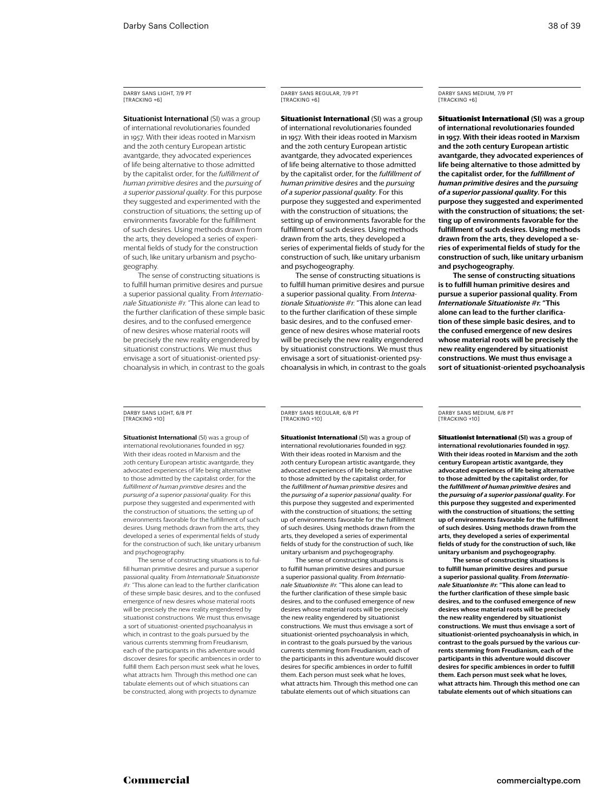**Situationist International (SI) was a group** of international revolutionaries founded in 1957. With their ideas rooted in Marxism and the 20th century European artistic avantgarde, they advocated experiences of life being alternative to those admitted by the capitalist order, for the *fulfillment of human primitive desires* and the *pursuing of a superior passional quality*. For this purpose they suggested and experimented with the construction of situations; the setting up of environments favorable for the fulfillment of such desires. Using methods drawn from the arts, they developed a series of experimental fields of study for the construction of such, like unitary urbanism and psychogeography.

The sense of constructing situations is to fulfill human primitive desires and pursue a superior passional quality. From *Internationale Situationiste #1*: "This alone can lead to the further clarification of these simple basic desires, and to the confused emergence of new desires whose material roots will be precisely the new reality engendered by situationist constructions. We must thus envisage a sort of situationist-oriented psychoanalysis in which, in contrast to the goals Darby Sans Regular, 7/9 PT [tracking +6]

**Situationist International (SI) was a group** of international revolutionaries founded in 1957. With their ideas rooted in Marxism and the 20th century European artistic avantgarde, they advocated experiences of life being alternative to those admitted by the capitalist order, for the *fulfillment of human primitive desires* and the *pursuing of a superior passional quality*. For this purpose they suggested and experimented with the construction of situations; the setting up of environments favorable for the fulfillment of such desires. Using methods drawn from the arts, they developed a series of experimental fields of study for the construction of such, like unitary urbanism and psychogeography.

The sense of constructing situations is to fulfill human primitive desires and pursue a superior passional quality. From *Internationale Situationiste #1*: "This alone can lead to the further clarification of these simple basic desires, and to the confused emergence of new desires whose material roots will be precisely the new reality engendered by situationist constructions. We must thus envisage a sort of situationist-oriented psychoanalysis in which, in contrast to the goals Darby Sans Medium, 7/9 PT [tracking +6]

**Situationist International (SI) was a group** of international revolutionaries founded in 1957. With their ideas rooted in Marxism and the 20th century European artistic avantgarde, they advocated experiences of life being alternative to those admitted by the capitalist order, for the *fulfillment of human primitive desires* and the *pursuing of a superior passional quality*. For this purpose they suggested and experimented with the construction of situations; the setting up of environments favorable for the fulfillment of such desires. Using methods drawn from the arts, they developed a series of experimental fields of study for the construction of such, like unitary urbanism and psychogeography.

The sense of constructing situations is to fulfill human primitive desires and pursue a superior passional quality. From *Internationale Situationiste #1*: "This alone can lead to the further clarification of these simple basic desires, and to the confused emergence of new desires whose material roots will be precisely the new reality engendered by situationist constructions. We must thus envisage a sort of situationist-oriented psychoanalysis

Darby Sans Light, 6/8 Pt [tracking +10]

**Situationist International (SI) was a group of** international revolutionaries founded in 1957. With their ideas rooted in Marxism and the 20th century European artistic avantgarde, they advocated experiences of life being alternative to those admitted by the capitalist order, for the *fulfillment of human primitive desires* and the *pursuing of a superior passional quality*. For this purpose they suggested and experimented with the construction of situations; the setting up of environments favorable for the fulfillment of such desires. Using methods drawn from the arts, they developed a series of experimental fields of study for the construction of such, like unitary urbanism and psychogeography.

The sense of constructing situations is to fulfill human primitive desires and pursue a superior passional quality. From *Internationale Situationiste #1*: "This alone can lead to the further clarification of these simple basic desires, and to the confused emergence of new desires whose material roots will be precisely the new reality engendered by situationist constructions. We must thus envisage a sort of situationist-oriented psychoanalysis in which, in contrast to the goals pursued by the various currents stemming from Freudianism, each of the participants in this adventure would discover desires for specific ambiences in order to fulfill them. Each person must seek what he loves, what attracts him. Through this method one can tabulate elements out of which situations can be constructed, along with projects to dynamize

Darby Sans Regular, 6/8 PT [tracking +10]

**Situationist International** (SI) was a group of international revolutionaries founded in 1957. With their ideas rooted in Marxism and the 20th century European artistic avantgarde, they advocated experiences of life being alternative to those admitted by the capitalist order, for the *fulfillment of human primitive desires* and the *pursuing of a superior passional quality*. For this purpose they suggested and experimented with the construction of situations; the setting up of environments favorable for the fulfillment of such desires. Using methods drawn from the arts, they developed a series of experimental fields of study for the construction of such, like unitary urbanism and psychogeography.

The sense of constructing situations is to fulfill human primitive desires and pursue a superior passional quality. From *Internationale Situationiste #1*: "This alone can lead to the further clarification of these simple basic desires, and to the confused emergence of new desires whose material roots will be precisely the new reality engendered by situationist constructions. We must thus envisage a sort of situationist-oriented psychoanalysis in which, in contrast to the goals pursued by the various currents stemming from Freudianism, each of the participants in this adventure would discover desires for specific ambiences in order to fulfill them. Each person must seek what he loves, what attracts him. Through this method one can tabulate elements out of which situations can

Darby Sans Medium, 6/8 PT [tracking +10]

Situationist International (SI) was a group of international revolutionaries founded in 1957. With their ideas rooted in Marxism and the 20th century European artistic avantgarde, they advocated experiences of life being alternative to those admitted by the capitalist order, for the *fulfillment of human primitive desires* and the *pursuing of a superior passional quality*. For this purpose they suggested and experimented with the construction of situations; the setting up of environments favorable for the fulfillment of such desires. Using methods drawn from the arts, they developed a series of experimental fields of study for the construction of such, like unitary urbanism and psychogeography.

The sense of constructing situations is to fulfill human primitive desires and pursue a superior passional quality. From *Internationale Situationiste #1*: "This alone can lead to the further clarification of these simple basic desires, and to the confused emergence of new desires whose material roots will be precisely the new reality engendered by situationist constructions. We must thus envisage a sort of situationist-oriented psychoanalysis in which, in contrast to the goals pursued by the various currents stemming from Freudianism, each of the participants in this adventure would discov desires for specific ambiences in order to fulfill them. Each person must seek what he loves, what attracts him. Through this method one can tabulate elements out of which situations can